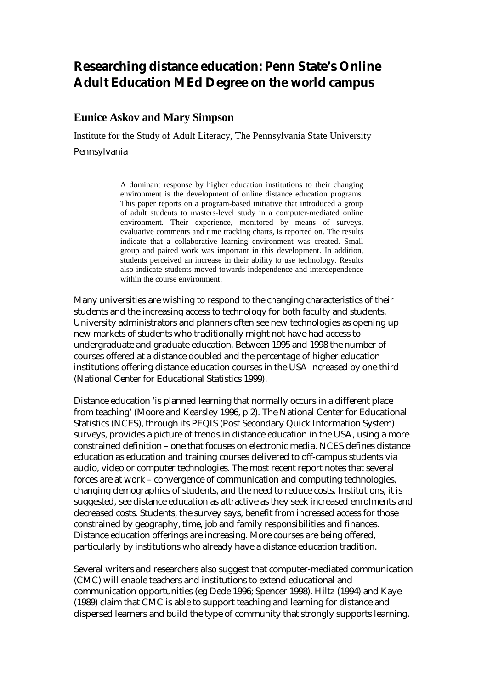# **Researching distance education: Penn State's Online Adult Education MEd Degree on the world campus**

### **Eunice Askov and Mary Simpson**

Institute for the Study of Adult Literacy, The Pennsylvania State University

Pennsylvania

A dominant response by higher education institutions to their changing environment is the development of online distance education programs. This paper reports on a program-based initiative that introduced a group of adult students to masters-level study in a computer-mediated online environment. Their experience, monitored by means of surveys, evaluative comments and time tracking charts, is reported on. The results indicate that a collaborative learning environment was created. Small group and paired work was important in this development. In addition, students perceived an increase in their ability to use technology. Results also indicate students moved towards independence and interdependence within the course environment.

Many universities are wishing to respond to the changing characteristics of their students and the increasing access to technology for both faculty and students. University administrators and planners often see new technologies as opening up new markets of students who traditionally might not have had access to undergraduate and graduate education. Between 1995 and 1998 the number of courses offered at a distance doubled and the percentage of higher education institutions offering distance education courses in the USA increased by one third (National Center for Educational Statistics 1999).

Distance education 'is planned learning that normally occurs in a different place from teaching' (Moore and Kearsley 1996, p 2). The National Center for Educational Statistics (NCES), through its PEQIS (Post Secondary Quick Information System) surveys, provides a picture of trends in distance education in the USA, using a more constrained definition – one that focuses on electronic media. NCES defines distance education as education and training courses delivered to off-campus students via audio, video or computer technologies. The most recent report notes that several forces are at work – convergence of communication and computing technologies, changing demographics of students, and the need to reduce costs. Institutions, it is suggested, see distance education as attractive as they seek increased enrolments and decreased costs. Students, the survey says, benefit from increased access for those constrained by geography, time, job and family responsibilities and finances. Distance education offerings are increasing. More courses are being offered, particularly by institutions who already have a distance education tradition.

Several writers and researchers also suggest that computer-mediated communication (CMC) will enable teachers and institutions to extend educational and communication opportunities (eg Dede 1996; Spencer 1998). Hiltz (1994) and Kaye (1989) claim that CMC is able to support teaching and learning for distance and dispersed learners and build the type of community that strongly supports learning.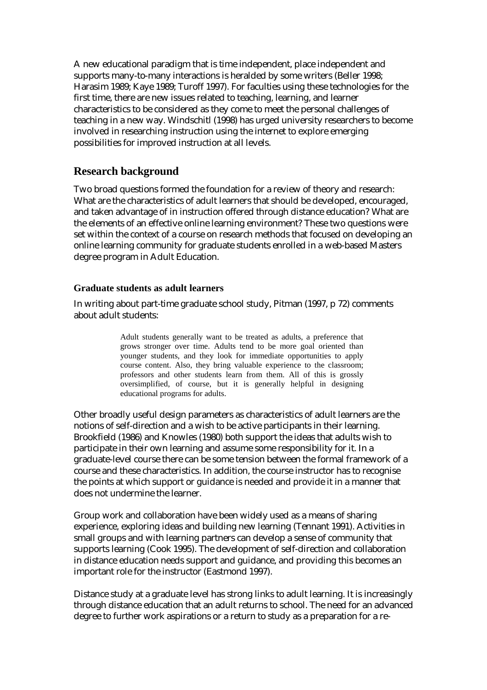A new educational paradigm that is time independent, place independent and supports many-to-many interactions is heralded by some writers (Beller 1998; Harasim 1989; Kaye 1989; Turoff 1997). For faculties using these technologies for the first time, there are new issues related to teaching, learning, and learner characteristics to be considered as they come to meet the personal challenges of teaching in a new way. Windschitl (1998) has urged university researchers to become involved in researching instruction using the internet to explore emerging possibilities for improved instruction at all levels.

# **Research background**

Two broad questions formed the foundation for a review of theory and research: What are the characteristics of adult learners that should be developed, encouraged, and taken advantage of in instruction offered through distance education? What are the elements of an effective online learning environment? These two questions were set within the context of a course on research methods that focused on developing an online learning community for graduate students enrolled in a web-based Masters degree program in Adult Education.

#### **Graduate students as adult learners**

In writing about part-time graduate school study, Pitman (1997, p 72) comments about adult students:

> Adult students generally want to be treated as adults, a preference that grows stronger over time. Adults tend to be more goal oriented than younger students, and they look for immediate opportunities to apply course content. Also, they bring valuable experience to the classroom; professors and other students learn from them. All of this is grossly oversimplified, of course, but it is generally helpful in designing educational programs for adults.

Other broadly useful design parameters as characteristics of adult learners are the notions of self-direction and a wish to be active participants in their learning. Brookfield (1986) and Knowles (1980) both support the ideas that adults wish to participate in their own learning and assume some responsibility for it. In a graduate-level course there can be some tension between the formal framework of a course and these characteristics. In addition, the course instructor has to recognise the points at which support or guidance is needed and provide it in a manner that does not undermine the learner.

Group work and collaboration have been widely used as a means of sharing experience, exploring ideas and building new learning (Tennant 1991). Activities in small groups and with learning partners can develop a sense of community that supports learning (Cook 1995). The development of self-direction and collaboration in distance education needs support and guidance, and providing this becomes an important role for the instructor (Eastmond 1997).

Distance study at a graduate level has strong links to adult learning. It is increasingly through distance education that an adult returns to school. The need for an advanced degree to further work aspirations or a return to study as a preparation for a re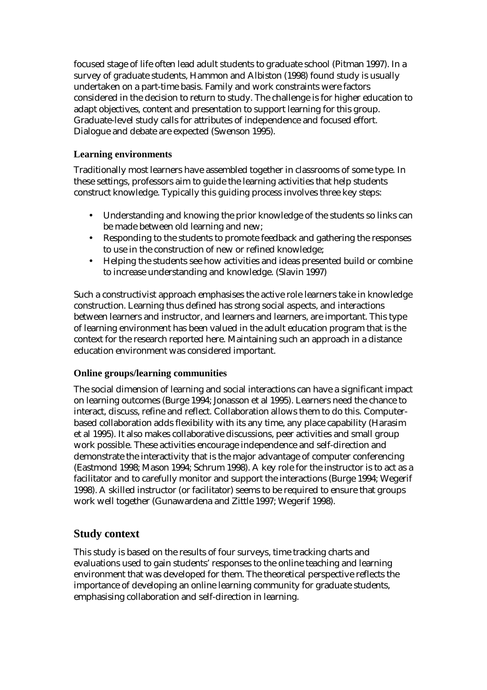focused stage of life often lead adult students to graduate school (Pitman 1997). In a survey of graduate students, Hammon and Albiston (1998) found study is usually undertaken on a part-time basis. Family and work constraints were factors considered in the decision to return to study. The challenge is for higher education to adapt objectives, content and presentation to support learning for this group. Graduate-level study calls for attributes of independence and focused effort. Dialogue and debate are expected (Swenson 1995).

### **Learning environments**

Traditionally most learners have assembled together in classrooms of some type. In these settings, professors aim to guide the learning activities that help students construct knowledge. Typically this guiding process involves three key steps:

- Understanding and knowing the prior knowledge of the students so links can be made between old learning and new;
- Responding to the students to promote feedback and gathering the responses to use in the construction of new or refined knowledge;
- Helping the students see how activities and ideas presented build or combine to increase understanding and knowledge. (Slavin 1997)

Such a constructivist approach emphasises the active role learners take in knowledge construction. Learning thus defined has strong social aspects, and interactions between learners and instructor, and learners and learners, are important. This type of learning environment has been valued in the adult education program that is the context for the research reported here. Maintaining such an approach in a distance education environment was considered important.

### **Online groups/learning communities**

The social dimension of learning and social interactions can have a significant impact on learning outcomes (Burge 1994; Jonasson et al 1995). Learners need the chance to interact, discuss, refine and reflect. Collaboration allows them to do this. Computerbased collaboration adds flexibility with its any time, any place capability (Harasim et al 1995). It also makes collaborative discussions, peer activities and small group work possible. These activities encourage independence and self-direction and demonstrate the interactivity that is the major advantage of computer conferencing (Eastmond 1998; Mason 1994; Schrum 1998). A key role for the instructor is to act as a facilitator and to carefully monitor and support the interactions (Burge 1994; Wegerif 1998). A skilled instructor (or facilitator) seems to be required to ensure that groups work well together (Gunawardena and Zittle 1997; Wegerif 1998).

# **Study context**

This study is based on the results of four surveys, time tracking charts and evaluations used to gain students' responses to the online teaching and learning environment that was developed for them. The theoretical perspective reflects the importance of developing an online learning community for graduate students, emphasising collaboration and self-direction in learning.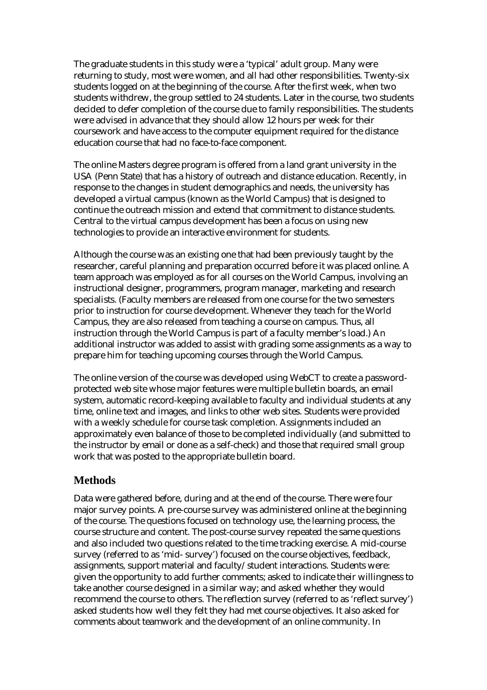The graduate students in this study were a 'typical' adult group. Many were returning to study, most were women, and all had other responsibilities. Twenty-six students logged on at the beginning of the course. After the first week, when two students withdrew, the group settled to 24 students. Later in the course, two students decided to defer completion of the course due to family responsibilities. The students were advised in advance that they should allow 12 hours per week for their coursework and have access to the computer equipment required for the distance education course that had no face-to-face component.

The online Masters degree program is offered from a land grant university in the USA (Penn State) that has a history of outreach and distance education. Recently, in response to the changes in student demographics and needs, the university has developed a virtual campus (known as the World Campus) that is designed to continue the outreach mission and extend that commitment to distance students. Central to the virtual campus development has been a focus on using new technologies to provide an interactive environment for students.

Although the course was an existing one that had been previously taught by the researcher, careful planning and preparation occurred before it was placed online. A team approach was employed as for all courses on the World Campus, involving an instructional designer, programmers, program manager, marketing and research specialists. (Faculty members are released from one course for the two semesters prior to instruction for course development. Whenever they teach for the World Campus, they are also released from teaching a course on campus. Thus, all instruction through the World Campus is part of a faculty member's load.) An additional instructor was added to assist with grading some assignments as a way to prepare him for teaching upcoming courses through the World Campus.

The online version of the course was developed using WebCT to create a passwordprotected web site whose major features were multiple bulletin boards, an email system, automatic record-keeping available to faculty and individual students at any time, online text and images, and links to other web sites. Students were provided with a weekly schedule for course task completion. Assignments included an approximately even balance of those to be completed individually (and submitted to the instructor by email or done as a self-check) and those that required small group work that was posted to the appropriate bulletin board.

# **Methods**

Data were gathered before, during and at the end of the course. There were four major survey points. A pre-course survey was administered online at the beginning of the course. The questions focused on technology use, the learning process, the course structure and content. The post-course survey repeated the same questions and also included two questions related to the time tracking exercise. A mid-course survey (referred to as 'mid- survey') focused on the course objectives, feedback, assignments, support material and faculty/student interactions. Students were: given the opportunity to add further comments; asked to indicate their willingness to take another course designed in a similar way; and asked whether they would recommend the course to others. The reflection survey (referred to as 'reflect survey') asked students how well they felt they had met course objectives. It also asked for comments about teamwork and the development of an online community. In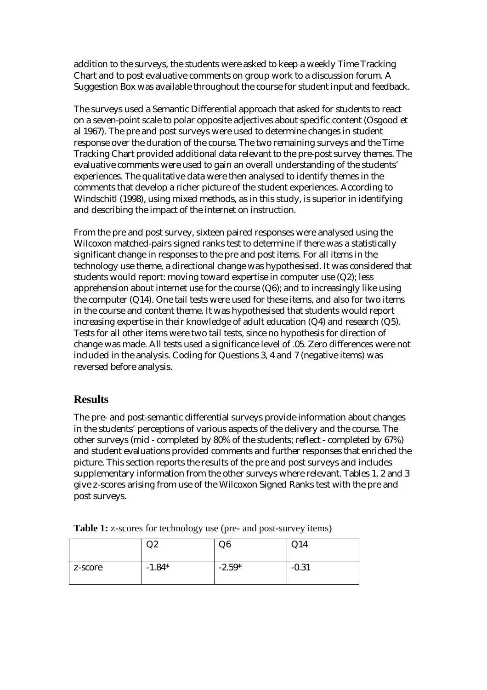addition to the surveys, the students were asked to keep a weekly Time Tracking Chart and to post evaluative comments on group work to a discussion forum. A Suggestion Box was available throughout the course for student input and feedback.

The surveys used a Semantic Differential approach that asked for students to react on a seven-point scale to polar opposite adjectives about specific content (Osgood et al 1967). The pre and post surveys were used to determine changes in student response over the duration of the course. The two remaining surveys and the Time Tracking Chart provided additional data relevant to the pre-post survey themes. The evaluative comments were used to gain an overall understanding of the students' experiences. The qualitative data were then analysed to identify themes in the comments that develop a richer picture of the student experiences. According to Windschitl (1998), using mixed methods, as in this study, is superior in identifying and describing the impact of the internet on instruction.

From the pre and post survey, sixteen paired responses were analysed using the Wilcoxon matched-pairs signed ranks test to determine if there was a statistically significant change in responses to the pre and post items. For all items in the technology use theme, a directional change was hypothesised. It was considered that students would report: moving toward expertise in computer use (Q2); less apprehension about internet use for the course (Q6); and to increasingly like using the computer (Q14). One tail tests were used for these items, and also for two items in the course and content theme. It was hypothesised that students would report increasing expertise in their knowledge of adult education (Q4) and research (Q5). Tests for all other items were two tail tests, since no hypothesis for direction of change was made. All tests used a significance level of .05. Zero differences were not included in the analysis. Coding for Questions 3, 4 and 7 (negative items) was reversed before analysis.

# **Results**

The pre- and post-semantic differential surveys provide information about changes in the students' perceptions of various aspects of the delivery and the course. The other surveys (mid - completed by 80% of the students; reflect - completed by 67%) and student evaluations provided comments and further responses that enriched the picture. This section reports the results of the pre and post surveys and includes supplementary information from the other surveys where relevant. Tables 1, 2 and 3 give z-scores arising from use of the Wilcoxon Signed Ranks test with the pre and post surveys.

| <b>Table 1:</b> z-scores for technology use (pre- and post-survey items) |  |
|--------------------------------------------------------------------------|--|
|--------------------------------------------------------------------------|--|

|         | めん       | Q6       | Q14     |
|---------|----------|----------|---------|
| z-score | $-1.84*$ | $-2.59*$ | $-0.31$ |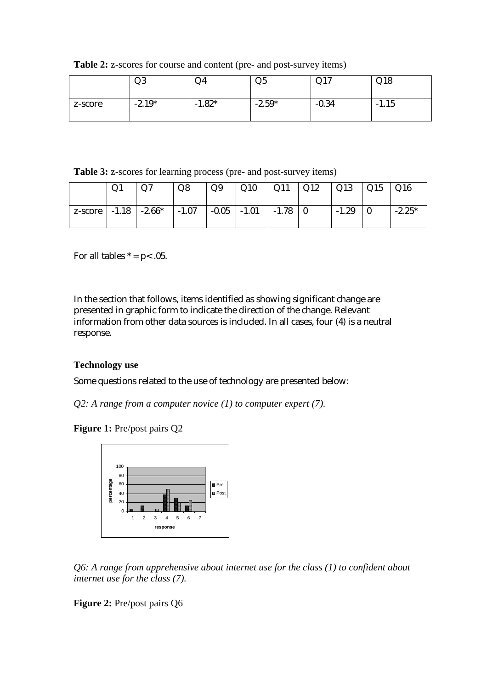**Table 2:** z-scores for course and content (pre- and post-survey items)

|         | Q3       | $Q_4$          | Q <sub>5</sub> | $\bigcap$ 1 $\bigcap$<br>V1 | Q18     |
|---------|----------|----------------|----------------|-----------------------------|---------|
| z-score | $-2.19*$ | $1.82*$<br>- 1 | $-2.59*$       | $-0.34$                     | $-1.15$ |

**Table 3:** z-scores for learning process (pre- and post-survey items)

|                          | Q1 | Q7       | Q8      | Q9      | Q10     | Q11     | Q12 | Q13     | Q15 | Q16      |
|--------------------------|----|----------|---------|---------|---------|---------|-----|---------|-----|----------|
| $ z\text{-score} $ -1.18 |    | $-2.66*$ | $-1.07$ | $-0.05$ | $-1.01$ | $-1.78$ |     | $-1.29$ |     | $-2.25*$ |

For all tables  $* = p < .05$ .

In the section that follows, items identified as showing significant change are presented in graphic form to indicate the direction of the change. Relevant information from other data sources is included. In all cases, four (4) is a neutral response.

#### **Technology use**

Some questions related to the use of technology are presented below:

*Q2: A range from a computer novice (1) to computer expert (7).* 

**Figure 1:** Pre/post pairs Q2



*Q6: A range from apprehensive about internet use for the class (1) to confident about internet use for the class (7).* 

**Figure 2:** Pre/post pairs Q6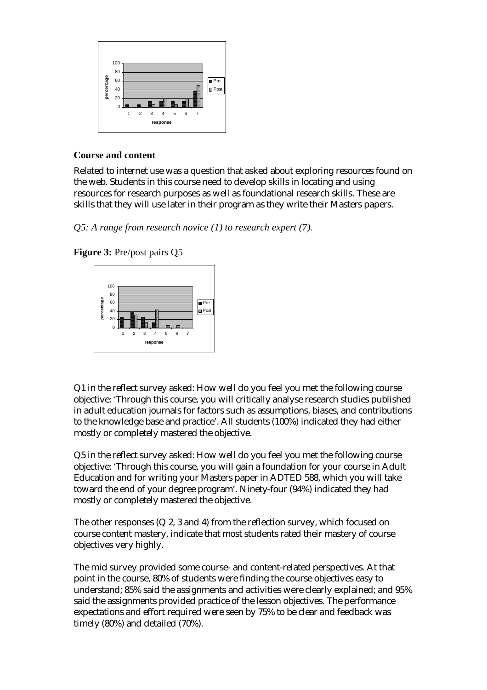

#### **Course and content**

Related to internet use was a question that asked about exploring resources found on the web. Students in this course need to develop skills in locating and using resources for research purposes as well as foundational research skills. These are skills that they will use later in their program as they write their Masters papers.

*Q5: A range from research novice (1) to research expert (7).* 

**Figure 3:** Pre/post pairs Q5



Q1 in the reflect survey asked: How well do you feel you met the following course objective: 'Through this course, you will critically analyse research studies published in adult education journals for factors such as assumptions, biases, and contributions to the knowledge base and practice'. All students (100%) indicated they had either mostly or completely mastered the objective.

Q5 in the reflect survey asked: How well do you feel you met the following course objective: 'Through this course, you will gain a foundation for your course in Adult Education and for writing your Masters paper in ADTED 588, which you will take toward the end of your degree program'. Ninety-four (94%) indicated they had mostly or completely mastered the objective.

The other responses (Q 2, 3 and 4) from the reflection survey, which focused on course content mastery, indicate that most students rated their mastery of course objectives very highly.

The mid survey provided some course- and content-related perspectives. At that point in the course, 80% of students were finding the course objectives easy to understand; 85% said the assignments and activities were clearly explained; and 95% said the assignments provided practice of the lesson objectives. The performance expectations and effort required were seen by 75% to be clear and feedback was timely (80%) and detailed (70%).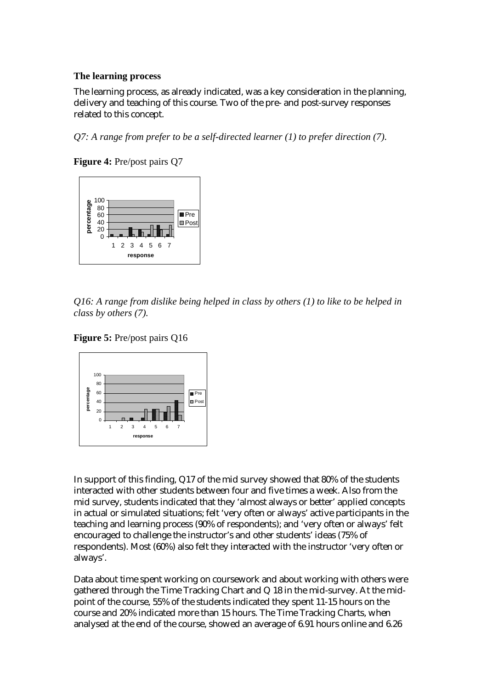#### **The learning process**

The learning process, as already indicated, was a key consideration in the planning, delivery and teaching of this course. Two of the pre- and post-survey responses related to this concept.

*Q7: A range from prefer to be a self-directed learner (1) to prefer direction (7).* 

**Figure 4:** Pre/post pairs Q7



*Q16: A range from dislike being helped in class by others (1) to like to be helped in class by others (7).* 





In support of this finding, Q17 of the mid survey showed that 80% of the students interacted with other students between four and five times a week. Also from the mid survey, students indicated that they 'almost always or better' applied concepts in actual or simulated situations; felt 'very often or always' active participants in the teaching and learning process (90% of respondents); and 'very often or always' felt encouraged to challenge the instructor's and other students' ideas (75% of respondents). Most (60%) also felt they interacted with the instructor 'very often or always'.

Data about time spent working on coursework and about working with others were gathered through the Time Tracking Chart and Q 18 in the mid-survey. At the midpoint of the course, 55% of the students indicated they spent 11-15 hours on the course and 20% indicated more than 15 hours. The Time Tracking Charts, when analysed at the end of the course, showed an average of 6.91 hours online and 6.26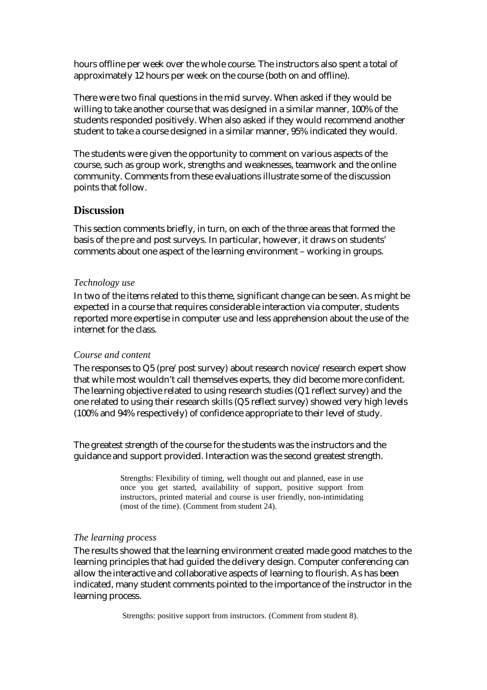hours offline per week over the whole course. The instructors also spent a total of approximately 12 hours per week on the course (both on and offline).

There were two final questions in the mid survey. When asked if they would be willing to take another course that was designed in a similar manner, 100% of the students responded positively. When also asked if they would recommend another student to take a course designed in a similar manner, 95% indicated they would.

The students were given the opportunity to comment on various aspects of the course, such as group work, strengths and weaknesses, teamwork and the online community. Comments from these evaluations illustrate some of the discussion points that follow.

#### **Discussion**

This section comments briefly, in turn, on each of the three areas that formed the basis of the pre and post surveys. In particular, however, it draws on students' comments about one aspect of the learning environment – working in groups.

#### *Technology use*

In two of the items related to this theme, significant change can be seen. As might be expected in a course that requires considerable interaction via computer, students reported more expertise in computer use and less apprehension about the use of the internet for the class.

#### *Course and content*

The responses to Q5 (pre/post survey) about research novice/research expert show that while most wouldn't call themselves experts, they did become more confident. The learning objective related to using research studies (Q1 reflect survey) and the one related to using their research skills (Q5 reflect survey) showed very high levels (100% and 94% respectively) of confidence appropriate to their level of study.

The greatest strength of the course for the students was the instructors and the guidance and support provided. Interaction was the second greatest strength.

> Strengths: Flexibility of timing, well thought out and planned, ease in use once you get started, availability of support, positive support from instructors, printed material and course is user friendly, non-intimidating (most of the time). (Comment from student 24).

#### *The learning process*

The results showed that the learning environment created made good matches to the learning principles that had guided the delivery design. Computer conferencing can allow the interactive and collaborative aspects of learning to flourish. As has been indicated, many student comments pointed to the importance of the instructor in the learning process.

Strengths: positive support from instructors. (Comment from student 8).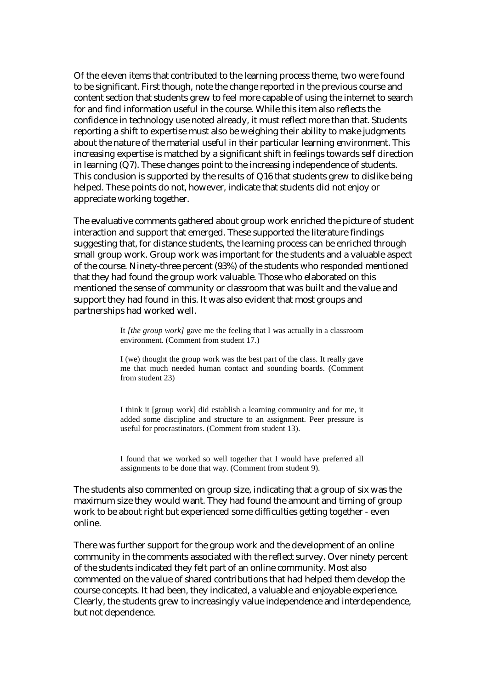Of the eleven items that contributed to the learning process theme, two were found to be significant. First though, note the change reported in the previous course and content section that students grew to feel more capable of using the internet to search for and find information useful in the course. While this item also reflects the confidence in technology use noted already, it must reflect more than that. Students reporting a shift to expertise must also be weighing their ability to make judgments about the nature of the material useful in their particular learning environment. This increasing expertise is matched by a significant shift in feelings towards self direction in learning (Q7). These changes point to the increasing independence of students. This conclusion is supported by the results of Q16 that students grew to dislike being helped. These points do not, however, indicate that students did not enjoy or appreciate working together.

The evaluative comments gathered about group work enriched the picture of student interaction and support that emerged. These supported the literature findings suggesting that, for distance students, the learning process can be enriched through small group work. Group work was important for the students and a valuable aspect of the course. Ninety-three percent (93%) of the students who responded mentioned that they had found the group work valuable. Those who elaborated on this mentioned the sense of community or classroom that was built and the value and support they had found in this. It was also evident that most groups and partnerships had worked well.

> It *[the group work]* gave me the feeling that I was actually in a classroom environment*.* (Comment from student 17.)

> I (we) thought the group work was the best part of the class. It really gave me that much needed human contact and sounding boards. (Comment from student 23)

> I think it [group work] did establish a learning community and for me, it added some discipline and structure to an assignment. Peer pressure is useful for procrastinators. (Comment from student 13).

> I found that we worked so well together that I would have preferred all assignments to be done that way. (Comment from student 9).

The students also commented on group size, indicating that a group of six was the maximum size they would want. They had found the amount and timing of group work to be about right but experienced some difficulties getting together - even online.

There was further support for the group work and the development of an online community in the comments associated with the reflect survey. Over ninety percent of the students indicated they felt part of an online community. Most also commented on the value of shared contributions that had helped them develop the course concepts. It had been, they indicated, a valuable and enjoyable experience. Clearly, the students grew to increasingly value independence and interdependence, but not dependence.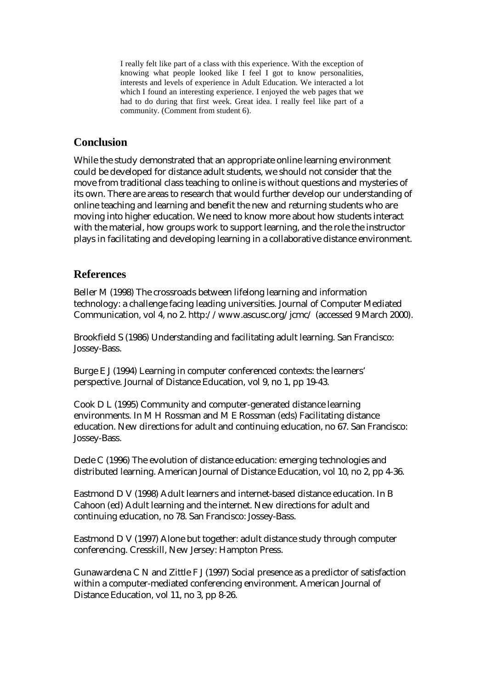I really felt like part of a class with this experience. With the exception of knowing what people looked like I feel I got to know personalities, interests and levels of experience in Adult Education. We interacted a lot which I found an interesting experience. I enjoyed the web pages that we had to do during that first week. Great idea. I really feel like part of a community. (Comment from student 6).

### **Conclusion**

While the study demonstrated that an appropriate online learning environment could be developed for distance adult students, we should not consider that the move from traditional class teaching to online is without questions and mysteries of its own. There are areas to research that would further develop our understanding of online teaching and learning and benefit the new and returning students who are moving into higher education. We need to know more about how students interact with the material, how groups work to support learning, and the role the instructor plays in facilitating and developing learning in a collaborative distance environment.

### **References**

Beller M (1998) The crossroads between lifelong learning and information technology: a challenge facing leading universities. Journal of Computer Mediated Communication, vol 4, no 2. http://www.ascusc.org/jcmc/ (accessed 9 March 2000).

Brookfield S (1986) Understanding and facilitating adult learning. San Francisco: Jossey-Bass.

Burge E J (1994) Learning in computer conferenced contexts: the learners' perspective. Journal of Distance Education, vol 9, no 1, pp 19-43.

Cook D L (1995) Community and computer-generated distance learning environments. In M H Rossman and M E Rossman (eds) Facilitating distance education. New directions for adult and continuing education, no 67. San Francisco: Jossey-Bass.

Dede C (1996) The evolution of distance education: emerging technologies and distributed learning. American Journal of Distance Education, vol 10, no 2, pp 4-36.

Eastmond D V (1998) Adult learners and internet-based distance education. In B Cahoon (ed) Adult learning and the internet. New directions for adult and continuing education, no 78. San Francisco: Jossey-Bass.

Eastmond D V (1997) Alone but together: adult distance study through computer conferencing. Cresskill, New Jersey: Hampton Press.

Gunawardena C N and Zittle F J (1997) Social presence as a predictor of satisfaction within a computer-mediated conferencing environment. American Journal of Distance Education, vol 11, no 3, pp 8-26.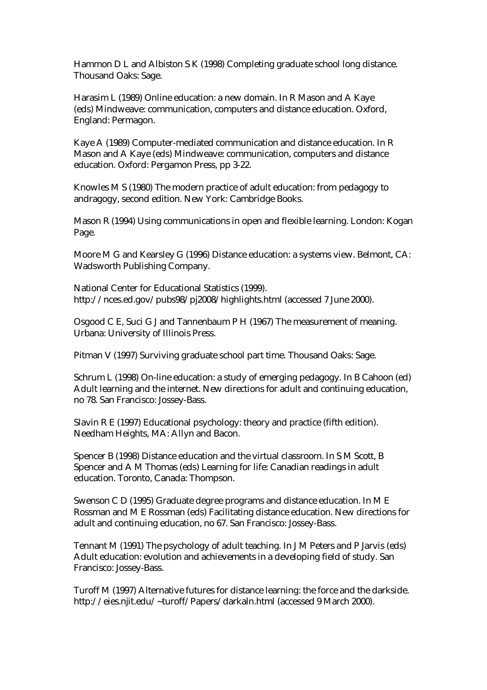Hammon D L and Albiston S K (1998) Completing graduate school long distance. Thousand Oaks: Sage.

Harasim L (1989) Online education: a new domain. In R Mason and A Kaye (eds) Mindweave: communication, computers and distance education. Oxford, England: Permagon.

Kaye A (1989) Computer-mediated communication and distance education. In R Mason and A Kaye (eds) Mindweave: communication, computers and distance education. Oxford: Pergamon Press, pp 3-22.

Knowles M S (1980) The modern practice of adult education: from pedagogy to andragogy, second edition. New York: Cambridge Books.

Mason R (1994) Using communications in open and flexible learning. London: Kogan Page.

Moore M G and Kearsley G (1996) Distance education: a systems view. Belmont, CA: Wadsworth Publishing Company.

National Center for Educational Statistics (1999). http://nces.ed.gov/pubs98/pj2008/highlights.html (accessed 7 June 2000).

Osgood C E, Suci G J and Tannenbaum P H (1967) The measurement of meaning. Urbana: University of Illinois Press.

Pitman V (1997) Surviving graduate school part time. Thousand Oaks: Sage.

Schrum L (1998) On-line education: a study of emerging pedagogy. In B Cahoon (ed) Adult learning and the internet. New directions for adult and continuing education, no 78. San Francisco: Jossey-Bass.

Slavin R E (1997) Educational psychology: theory and practice (fifth edition). Needham Heights, MA: Allyn and Bacon.

Spencer B (1998) Distance education and the virtual classroom. In S M Scott, B Spencer and A M Thomas (eds) Learning for life: Canadian readings in adult education. Toronto, Canada: Thompson.

Swenson C D (1995) Graduate degree programs and distance education. In M E Rossman and M E Rossman (eds) Facilitating distance education. New directions for adult and continuing education, no 67. San Francisco: Jossey-Bass.

Tennant M (1991) The psychology of adult teaching. In J M Peters and P Jarvis (eds) Adult education: evolution and achievements in a developing field of study. San Francisco: Jossey-Bass.

Turoff M (1997) Alternative futures for distance learning: the force and the darkside. http://eies.njit.edu/~turoff/Papers/darkaln.html (accessed 9 March 2000).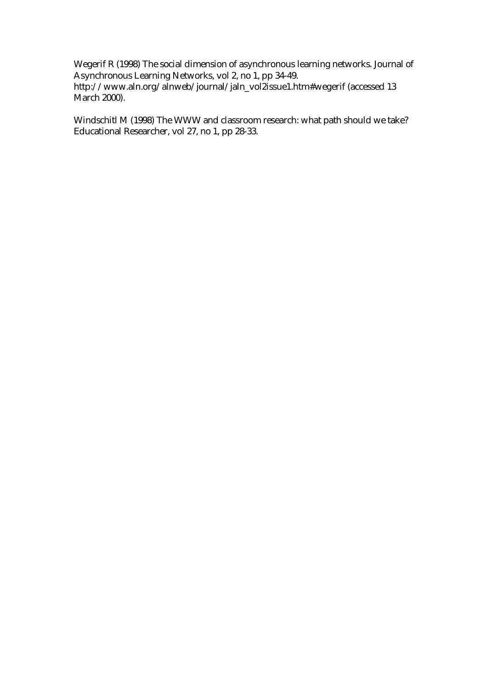Wegerif R (1998) The social dimension of asynchronous learning networks. Journal of Asynchronous Learning Networks, vol 2, no 1, pp 34-49. http://www.aln.org/alnweb/journal/jaln\_vol2issue1.htm#wegerif (accessed 13 March 2000).

Windschitl M (1998) The WWW and classroom research: what path should we take? Educational Researcher, vol 27, no 1, pp 28-33.